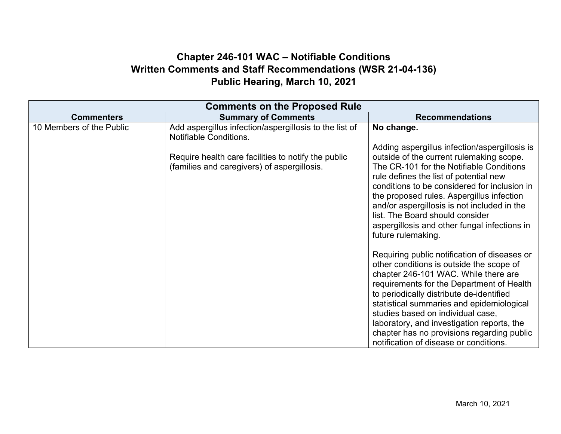## **Chapter 246-101 WAC – Notifiable Conditions Written Comments and Staff Recommendations (WSR 21-04-136) Public Hearing, March 10, 2021**

| <b>Comments on the Proposed Rule</b> |                                                                                                                                                                                               |                                                                                                                                                                                                                                                                                                                                                                                                                                                                                                                                                                                                                                                                                                                                                                                                                                                               |  |  |
|--------------------------------------|-----------------------------------------------------------------------------------------------------------------------------------------------------------------------------------------------|---------------------------------------------------------------------------------------------------------------------------------------------------------------------------------------------------------------------------------------------------------------------------------------------------------------------------------------------------------------------------------------------------------------------------------------------------------------------------------------------------------------------------------------------------------------------------------------------------------------------------------------------------------------------------------------------------------------------------------------------------------------------------------------------------------------------------------------------------------------|--|--|
| <b>Commenters</b>                    | <b>Summary of Comments</b>                                                                                                                                                                    | <b>Recommendations</b>                                                                                                                                                                                                                                                                                                                                                                                                                                                                                                                                                                                                                                                                                                                                                                                                                                        |  |  |
| 10 Members of the Public             | Add aspergillus infection/aspergillosis to the list of<br><b>Notifiable Conditions.</b><br>Require health care facilities to notify the public<br>(families and caregivers) of aspergillosis. | No change.<br>Adding aspergillus infection/aspergillosis is<br>outside of the current rulemaking scope.<br>The CR-101 for the Notifiable Conditions<br>rule defines the list of potential new<br>conditions to be considered for inclusion in<br>the proposed rules. Aspergillus infection<br>and/or aspergillosis is not included in the<br>list. The Board should consider<br>aspergillosis and other fungal infections in<br>future rulemaking.<br>Requiring public notification of diseases or<br>other conditions is outside the scope of<br>chapter 246-101 WAC. While there are<br>requirements for the Department of Health<br>to periodically distribute de-identified<br>statistical summaries and epidemiological<br>studies based on individual case,<br>laboratory, and investigation reports, the<br>chapter has no provisions regarding public |  |  |
|                                      |                                                                                                                                                                                               | notification of disease or conditions.                                                                                                                                                                                                                                                                                                                                                                                                                                                                                                                                                                                                                                                                                                                                                                                                                        |  |  |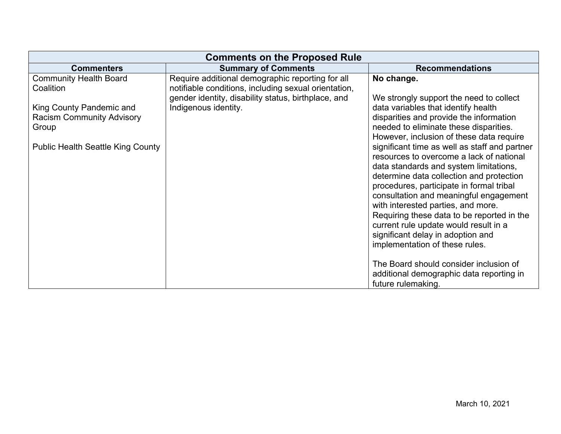| <b>Comments on the Proposed Rule</b>     |                                                      |                                               |  |  |
|------------------------------------------|------------------------------------------------------|-----------------------------------------------|--|--|
| <b>Commenters</b>                        | <b>Summary of Comments</b>                           | <b>Recommendations</b>                        |  |  |
| <b>Community Health Board</b>            | Require additional demographic reporting for all     | No change.                                    |  |  |
| Coalition                                | notifiable conditions, including sexual orientation, |                                               |  |  |
|                                          | gender identity, disability status, birthplace, and  | We strongly support the need to collect       |  |  |
| King County Pandemic and                 | Indigenous identity.                                 | data variables that identify health           |  |  |
| <b>Racism Community Advisory</b>         |                                                      | disparities and provide the information       |  |  |
| Group                                    |                                                      | needed to eliminate these disparities.        |  |  |
|                                          |                                                      | However, inclusion of these data require      |  |  |
| <b>Public Health Seattle King County</b> |                                                      | significant time as well as staff and partner |  |  |
|                                          |                                                      | resources to overcome a lack of national      |  |  |
|                                          |                                                      | data standards and system limitations,        |  |  |
|                                          |                                                      | determine data collection and protection      |  |  |
|                                          |                                                      | procedures, participate in formal tribal      |  |  |
|                                          |                                                      | consultation and meaningful engagement        |  |  |
|                                          |                                                      | with interested parties, and more.            |  |  |
|                                          |                                                      | Requiring these data to be reported in the    |  |  |
|                                          |                                                      | current rule update would result in a         |  |  |
|                                          |                                                      | significant delay in adoption and             |  |  |
|                                          |                                                      | implementation of these rules.                |  |  |
|                                          |                                                      |                                               |  |  |
|                                          |                                                      | The Board should consider inclusion of        |  |  |
|                                          |                                                      | additional demographic data reporting in      |  |  |
|                                          |                                                      | future rulemaking.                            |  |  |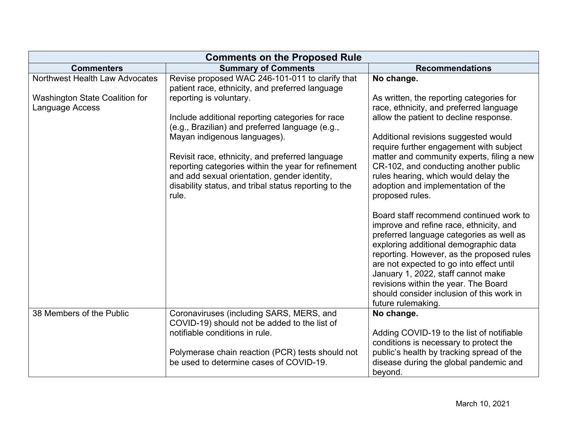| <b>Comments on the Proposed Rule</b>                     |                                                                                                                                                                                                                          |                                                                                                                                                                                                                                                                                                                                                                                                                   |  |  |
|----------------------------------------------------------|--------------------------------------------------------------------------------------------------------------------------------------------------------------------------------------------------------------------------|-------------------------------------------------------------------------------------------------------------------------------------------------------------------------------------------------------------------------------------------------------------------------------------------------------------------------------------------------------------------------------------------------------------------|--|--|
| <b>Commenters</b>                                        | <b>Summary of Comments</b>                                                                                                                                                                                               | <b>Recommendations</b>                                                                                                                                                                                                                                                                                                                                                                                            |  |  |
| Northwest Health Law Advocates                           | Revise proposed WAC 246-101-011 to clarify that<br>patient race, ethnicity, and preferred language                                                                                                                       | No change.                                                                                                                                                                                                                                                                                                                                                                                                        |  |  |
| <b>Washington State Coalition for</b><br>Language Access | reporting is voluntary.                                                                                                                                                                                                  | As written, the reporting categories for<br>race, ethnicity, and preferred language                                                                                                                                                                                                                                                                                                                               |  |  |
|                                                          | Include additional reporting categories for race<br>(e.g., Brazilian) and preferred language (e.g.,                                                                                                                      | allow the patient to decline response.                                                                                                                                                                                                                                                                                                                                                                            |  |  |
|                                                          | Mayan indigenous languages).                                                                                                                                                                                             | Additional revisions suggested would<br>require further engagement with subject                                                                                                                                                                                                                                                                                                                                   |  |  |
|                                                          | Revisit race, ethnicity, and preferred language<br>reporting categories within the year for refinement<br>and add sexual orientation, gender identity,<br>disability status, and tribal status reporting to the<br>rule. | matter and community experts, filing a new<br>CR-102, and conducting another public<br>rules hearing, which would delay the<br>adoption and implementation of the<br>proposed rules.                                                                                                                                                                                                                              |  |  |
|                                                          |                                                                                                                                                                                                                          | Board staff recommend continued work to<br>improve and refine race, ethnicity, and<br>preferred language categories as well as<br>exploring additional demographic data<br>reporting. However, as the proposed rules<br>are not expected to go into effect until<br>January 1, 2022, staff cannot make<br>revisions within the year. The Board<br>should consider inclusion of this work in<br>future rulemaking. |  |  |
| 38 Members of the Public                                 | Coronaviruses (including SARS, MERS, and<br>COVID-19) should not be added to the list of<br>notifiable conditions in rule.                                                                                               | No change.<br>Adding COVID-19 to the list of notifiable                                                                                                                                                                                                                                                                                                                                                           |  |  |
|                                                          |                                                                                                                                                                                                                          | conditions is necessary to protect the                                                                                                                                                                                                                                                                                                                                                                            |  |  |
|                                                          | Polymerase chain reaction (PCR) tests should not<br>be used to determine cases of COVID-19.                                                                                                                              | public's health by tracking spread of the<br>disease during the global pandemic and                                                                                                                                                                                                                                                                                                                               |  |  |
|                                                          |                                                                                                                                                                                                                          | beyond.                                                                                                                                                                                                                                                                                                                                                                                                           |  |  |